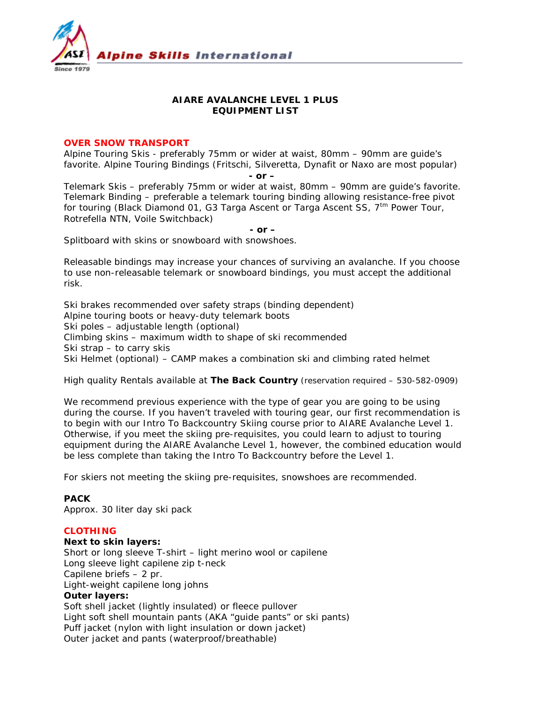

# **AIARE AVALANCHE LEVEL 1 PLUS EQUIPMENT LIST**

## **OVER SNOW TRANSPORT**

Alpine Touring Skis - preferably 75mm or wider at waist, 80mm – 90mm are guide's favorite. Alpine Touring Bindings (Fritschi, Silveretta, Dynafit or Naxo are most popular)

 *- or –*

Telemark Skis – preferably 75mm or wider at waist, 80mm – 90mm are guide's favorite. Telemark Binding – preferable a telemark touring binding allowing resistance-free pivot for touring (Black Diamond 01, G3 Targa Ascent or Targa Ascent SS,  $7<sup>tm</sup>$  Power Tour, Rotrefella NTN, Voile Switchback)

*- or –*

Splitboard with skins or snowboard with snowshoes.

*Releasable bindings may increase your chances of surviving an avalanche. If you choose to use non-releasable telemark or snowboard bindings, you must accept the additional risk.*

Ski brakes recommended over safety straps (binding dependent) Alpine touring boots or heavy-duty telemark boots Ski poles – adjustable length (optional) Climbing skins – maximum width to shape of ski recommended Ski strap – to carry skis Ski Helmet (optional) – CAMP makes a combination ski and climbing rated helmet

### *High quality Rentals available at The Back Country (reservation required – 530-582-0909)*

We recommend previous experience with the type of gear you are going to be using during the course. If you haven't traveled with touring gear, our first recommendation is to begin with our Intro To Backcountry Skiing course prior to AIARE Avalanche Level 1. Otherwise, if you meet the skiing pre-requisites, you could learn to adjust to touring equipment during the AIARE Avalanche Level 1, however, the combined education would be less complete than taking the Intro To Backcountry before the Level 1.

For skiers not meeting the skiing pre-requisites, snowshoes are recommended.

# **PACK**

Approx. 30 liter day ski pack

### **CLOTHING**

#### **Next to skin layers:**

Short or long sleeve T-shirt – light merino wool or capilene Long sleeve light capilene zip t-neck Capilene briefs – 2 pr. Light-weight capilene long johns **Outer layers:** Soft shell jacket (lightly insulated) or fleece pullover Light soft shell mountain pants (AKA "guide pants" or ski pants) Puff jacket (nylon with light insulation or down jacket) Outer jacket and pants (waterproof/breathable)